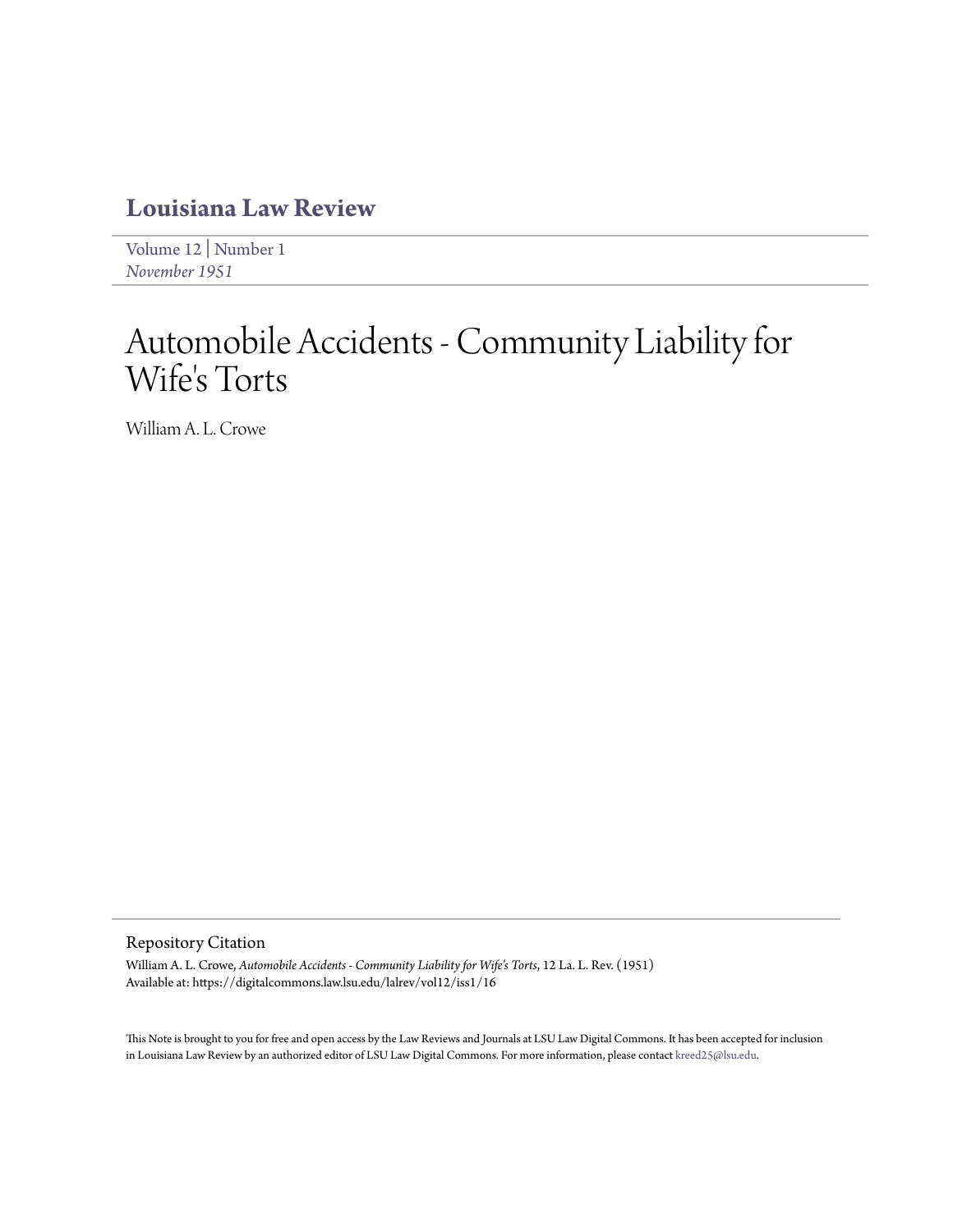## **[Louisiana Law Review](https://digitalcommons.law.lsu.edu/lalrev)**

[Volume 12](https://digitalcommons.law.lsu.edu/lalrev/vol12) | [Number 1](https://digitalcommons.law.lsu.edu/lalrev/vol12/iss1) *[November 1951](https://digitalcommons.law.lsu.edu/lalrev/vol12/iss1)*

# Automobile Accidents - Community Liability for Wife's Torts

William A. L. Crowe

### Repository Citation

William A. L. Crowe, *Automobile Accidents - Community Liability for Wife's Torts*, 12 La. L. Rev. (1951) Available at: https://digitalcommons.law.lsu.edu/lalrev/vol12/iss1/16

This Note is brought to you for free and open access by the Law Reviews and Journals at LSU Law Digital Commons. It has been accepted for inclusion in Louisiana Law Review by an authorized editor of LSU Law Digital Commons. For more information, please contact [kreed25@lsu.edu](mailto:kreed25@lsu.edu).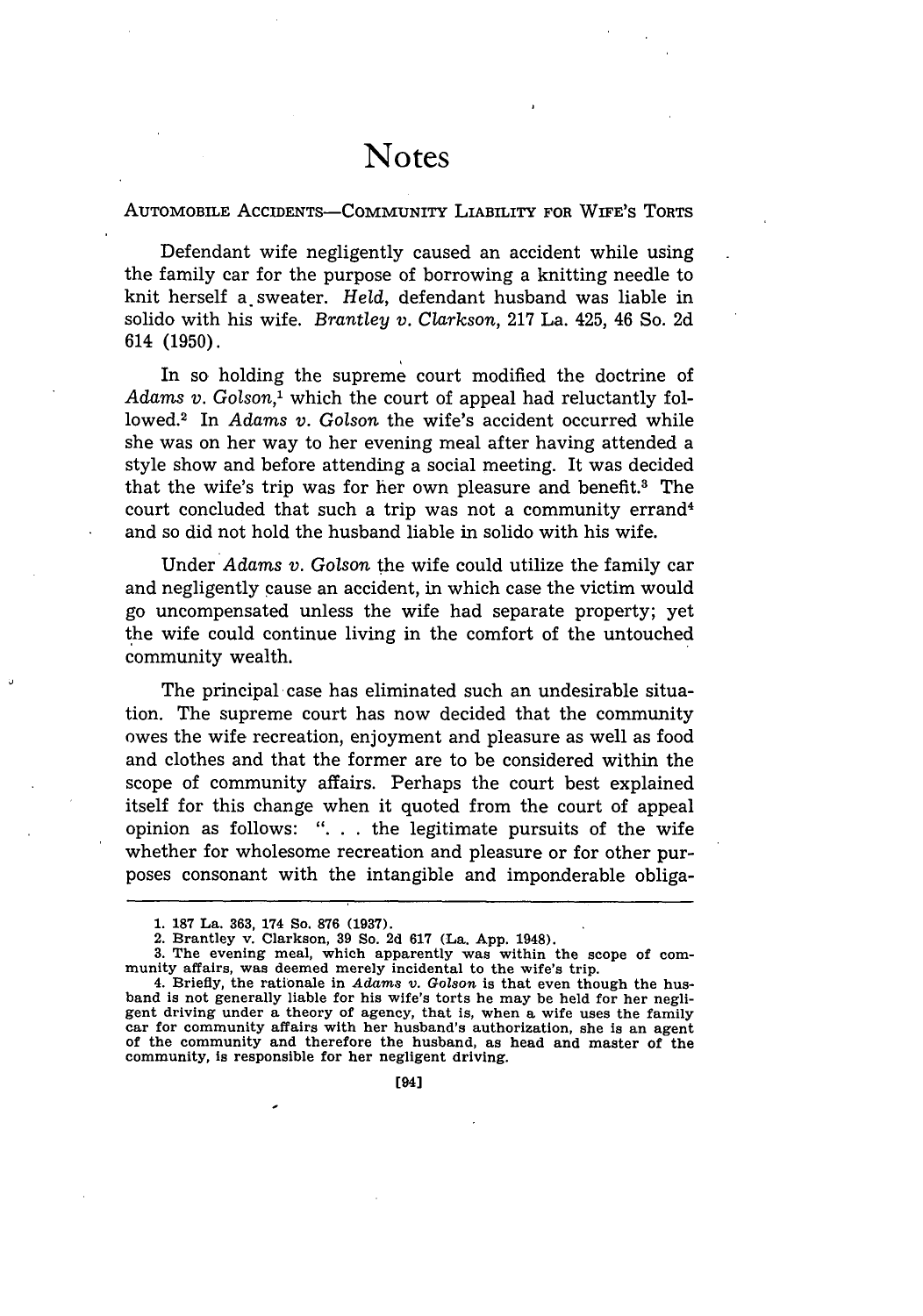### **Notes**

#### AUTOMOBILE ACCIDENTS-COMMUNITY LIABILITY FOR **WIFE's TORTS**

Defendant wife negligently caused an accident while using the family car for the purpose of borrowing a knitting needle to knit herself a sweater. *Held,* defendant husband was liable in solido with his wife. *Brantley v. Clarkson,* 217 La. 425, 46 So. 2d 614 (1950).

In so holding the supreme court modified the doctrine of Adams *v.* Golson,<sup>1</sup> which the court of appeal had reluctantly followed.<sup>2</sup> In *Adams v. Golson* the wife's accident occurred while she was on her way to her evening meal after having attended a style show and before attending a social meeting. It was decided that the wife's trip was for her own pleasure and benefit.3 The court concluded that such a trip was not a community errand<sup>4</sup> and so did not hold the husband liable in solido with his wife.

Under *Adams v. Golson* the wife could utilize the family car and negligently cause an accident, in which case the victim would go uncompensated unless the wife had separate property; yet the wife could continue living in the comfort of the untouched community wealth.

The principal case has eliminated such an undesirable situation. The supreme court has now decided that the community owes the wife recreation, enjoyment and pleasure as well as food and clothes and that the former are to be considered within the scope of community affairs. Perhaps the court best explained itself for this change when it quoted from the court of appeal opinion as follows: ". **.** . the legitimate pursuits of the wife whether for wholesome recreation and pleasure or for other purposes consonant with the intangible and imponderable obliga-

**3.** The evening meal, which apparently was within the scope of community affairs, **was** deemed merely incidental to the wife's trip.

**<sup>1. 187</sup>** La. **363, 174** So. **876 (1937).**

<sup>2.</sup> Brantley v. Clarkson, **39 So. 2d 617** (La. **App.** 1948).

<sup>4.</sup> Briefly, the rationale in *Adams v.* Golson is that even though the husband is not generally liable for his wife's torts he may be held for her negligent driving under **a** theory of agency, that is, when **a** wife uses the family **car** for community affairs with her husband's authorization, she is an agent of the community **and** therefore the husband, **as** head and master of the community, is responsible for her negligent driving.